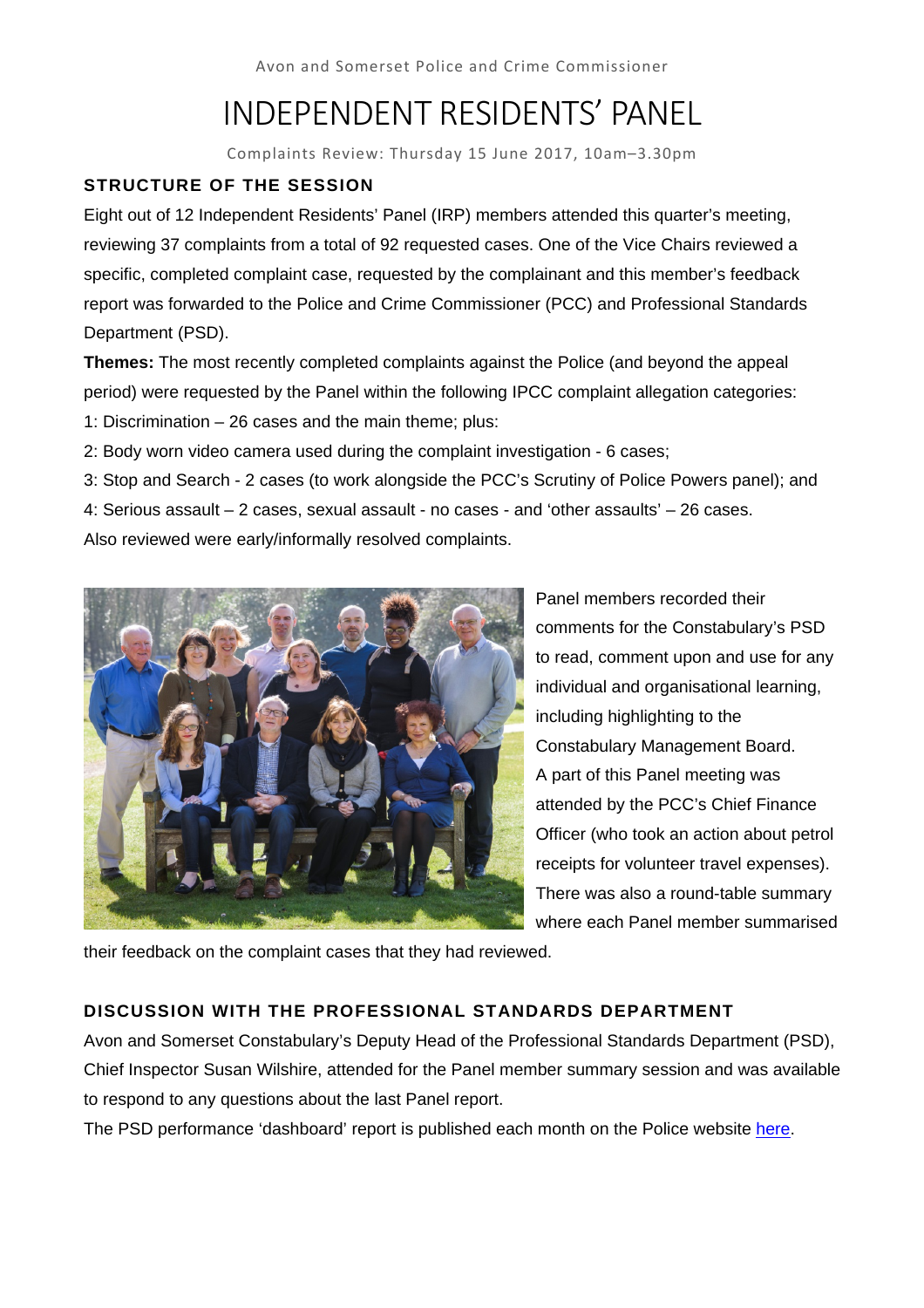Avon and Somerset Police and Crime Commissioner

# INDEPENDENT RESIDENTS' PANEL

Complaints Review: Thursday 15 June 2017, 10am–3.30pm

# **STRUCTURE OF THE SESSION**

Eight out of 12 Independent Residents' Panel (IRP) members attended this quarter's meeting, reviewing 37 complaints from a total of 92 requested cases. One of the Vice Chairs reviewed a specific, completed complaint case, requested by the complainant and this member's feedback report was forwarded to the Police and Crime Commissioner (PCC) and Professional Standards Department (PSD).

**Themes:** The most recently completed complaints against the Police (and beyond the appeal period) were requested by the Panel within the following IPCC complaint allegation categories: 1: Discrimination – 26 cases and the main theme; plus:

2: Body worn video camera used during the complaint investigation - 6 cases;

3: Stop and Search - 2 cases (to work alongside the PCC's Scrutiny of Police Powers panel); and 4: Serious assault – 2 cases, sexual assault - no cases - and 'other assaults' – 26 cases.

Also reviewed were early/informally resolved complaints.



Panel members recorded their comments for the Constabulary's PSD to read, comment upon and use for any individual and organisational learning, including highlighting to the Constabulary Management Board. A part of this Panel meeting was attended by the PCC's Chief Finance Officer (who took an action about petrol receipts for volunteer travel expenses). There was also a round-table summary where each Panel member summarised

their feedback on the complaint cases that they had reviewed.

# **DISCUSSION WITH THE PROFESSIONAL STANDARDS DEPARTMENT**

Avon and Somerset Constabulary's Deputy Head of the Professional Standards Department (PSD), Chief Inspector Susan Wilshire, attended for the Panel member summary session and was available to respond to any questions about the last Panel report.

The PSD performance 'dashboard' report is published each month on the Police website here.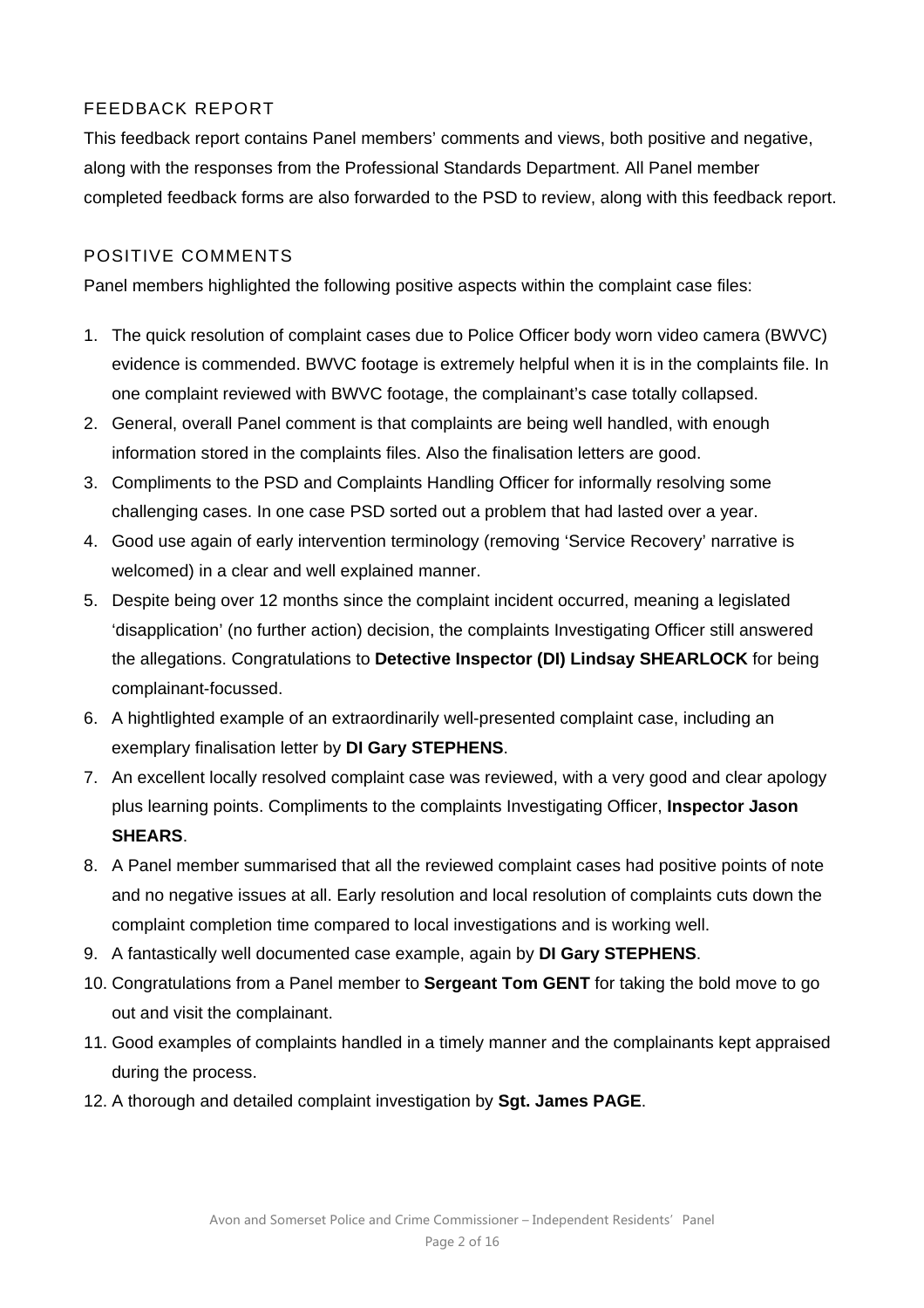# FEEDBACK REPORT

This feedback report contains Panel members' comments and views, both positive and negative, along with the responses from the Professional Standards Department. All Panel member completed feedback forms are also forwarded to the PSD to review, along with this feedback report.

## POSITIVE COMMENTS

Panel members highlighted the following positive aspects within the complaint case files:

- 1. The quick resolution of complaint cases due to Police Officer body worn video camera (BWVC) evidence is commended. BWVC footage is extremely helpful when it is in the complaints file. In one complaint reviewed with BWVC footage, the complainant's case totally collapsed.
- 2. General, overall Panel comment is that complaints are being well handled, with enough information stored in the complaints files. Also the finalisation letters are good.
- 3. Compliments to the PSD and Complaints Handling Officer for informally resolving some challenging cases. In one case PSD sorted out a problem that had lasted over a year.
- 4. Good use again of early intervention terminology (removing 'Service Recovery' narrative is welcomed) in a clear and well explained manner.
- 5. Despite being over 12 months since the complaint incident occurred, meaning a legislated 'disapplication' (no further action) decision, the complaints Investigating Officer still answered the allegations. Congratulations to **Detective Inspector (DI) Lindsay SHEARLOCK** for being complainant-focussed.
- 6. A hightlighted example of an extraordinarily well-presented complaint case, including an exemplary finalisation letter by **DI Gary STEPHENS**.
- 7. An excellent locally resolved complaint case was reviewed, with a very good and clear apology plus learning points. Compliments to the complaints Investigating Officer, **Inspector Jason SHEARS**.
- 8. A Panel member summarised that all the reviewed complaint cases had positive points of note and no negative issues at all. Early resolution and local resolution of complaints cuts down the complaint completion time compared to local investigations and is working well.
- 9. A fantastically well documented case example, again by **DI Gary STEPHENS**.
- 10. Congratulations from a Panel member to **Sergeant Tom GENT** for taking the bold move to go out and visit the complainant.
- 11. Good examples of complaints handled in a timely manner and the complainants kept appraised during the process.
- 12. A thorough and detailed complaint investigation by **Sgt. James PAGE**.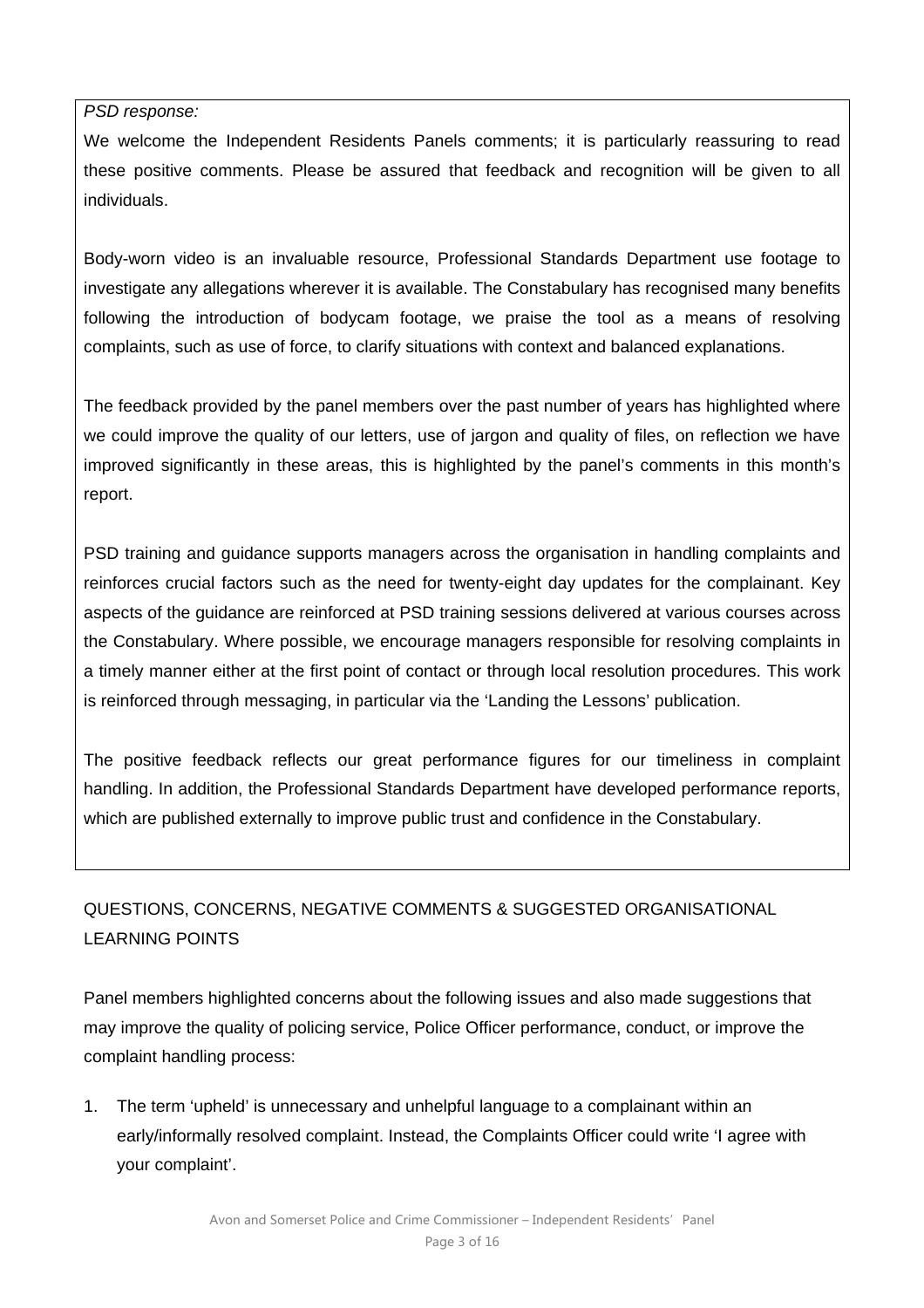*PSD response:* 

We welcome the Independent Residents Panels comments; it is particularly reassuring to read these positive comments. Please be assured that feedback and recognition will be given to all individuals.

Body-worn video is an invaluable resource, Professional Standards Department use footage to investigate any allegations wherever it is available. The Constabulary has recognised many benefits following the introduction of bodycam footage, we praise the tool as a means of resolving complaints, such as use of force, to clarify situations with context and balanced explanations.

The feedback provided by the panel members over the past number of years has highlighted where we could improve the quality of our letters, use of jargon and quality of files, on reflection we have improved significantly in these areas, this is highlighted by the panel's comments in this month's report.

PSD training and guidance supports managers across the organisation in handling complaints and reinforces crucial factors such as the need for twenty-eight day updates for the complainant. Key aspects of the guidance are reinforced at PSD training sessions delivered at various courses across the Constabulary. Where possible, we encourage managers responsible for resolving complaints in a timely manner either at the first point of contact or through local resolution procedures. This work is reinforced through messaging, in particular via the 'Landing the Lessons' publication.

The positive feedback reflects our great performance figures for our timeliness in complaint handling. In addition, the Professional Standards Department have developed performance reports, which are published externally to improve public trust and confidence in the Constabulary.

# QUESTIONS, CONCERNS, NEGATIVE COMMENTS & SUGGESTED ORGANISATIONAL LEARNING POINTS

Panel members highlighted concerns about the following issues and also made suggestions that may improve the quality of policing service, Police Officer performance, conduct, or improve the complaint handling process:

1. The term 'upheld' is unnecessary and unhelpful language to a complainant within an early/informally resolved complaint. Instead, the Complaints Officer could write 'I agree with your complaint'.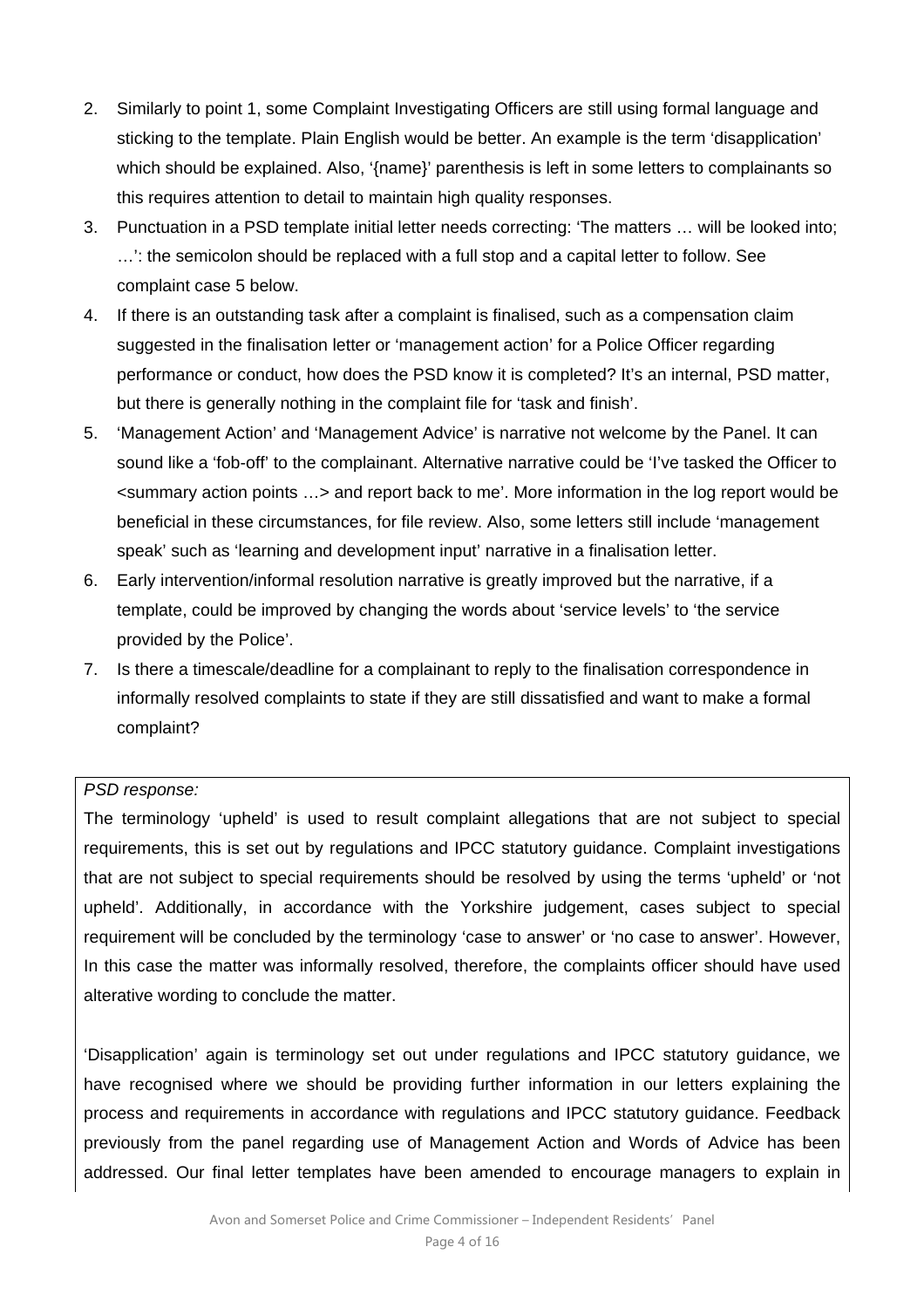- 2. Similarly to point 1, some Complaint Investigating Officers are still using formal language and sticking to the template. Plain English would be better. An example is the term 'disapplication' which should be explained. Also, '{name}' parenthesis is left in some letters to complainants so this requires attention to detail to maintain high quality responses.
- 3. Punctuation in a PSD template initial letter needs correcting: 'The matters … will be looked into; …': the semicolon should be replaced with a full stop and a capital letter to follow. See complaint case 5 below.
- 4. If there is an outstanding task after a complaint is finalised, such as a compensation claim suggested in the finalisation letter or 'management action' for a Police Officer regarding performance or conduct, how does the PSD know it is completed? It's an internal, PSD matter, but there is generally nothing in the complaint file for 'task and finish'.
- 5. 'Management Action' and 'Management Advice' is narrative not welcome by the Panel. It can sound like a 'fob-off' to the complainant. Alternative narrative could be 'I've tasked the Officer to <summary action points …> and report back to me'. More information in the log report would be beneficial in these circumstances, for file review. Also, some letters still include 'management speak' such as 'learning and development input' narrative in a finalisation letter.
- 6. Early intervention/informal resolution narrative is greatly improved but the narrative, if a template, could be improved by changing the words about 'service levels' to 'the service provided by the Police'.
- 7. Is there a timescale/deadline for a complainant to reply to the finalisation correspondence in informally resolved complaints to state if they are still dissatisfied and want to make a formal complaint?

#### *PSD response:*

The terminology 'upheld' is used to result complaint allegations that are not subject to special requirements, this is set out by regulations and IPCC statutory guidance. Complaint investigations that are not subject to special requirements should be resolved by using the terms 'upheld' or 'not upheld'. Additionally, in accordance with the Yorkshire judgement, cases subject to special requirement will be concluded by the terminology 'case to answer' or 'no case to answer'. However, In this case the matter was informally resolved, therefore, the complaints officer should have used alterative wording to conclude the matter.

'Disapplication' again is terminology set out under regulations and IPCC statutory guidance, we have recognised where we should be providing further information in our letters explaining the process and requirements in accordance with regulations and IPCC statutory guidance. Feedback previously from the panel regarding use of Management Action and Words of Advice has been addressed. Our final letter templates have been amended to encourage managers to explain in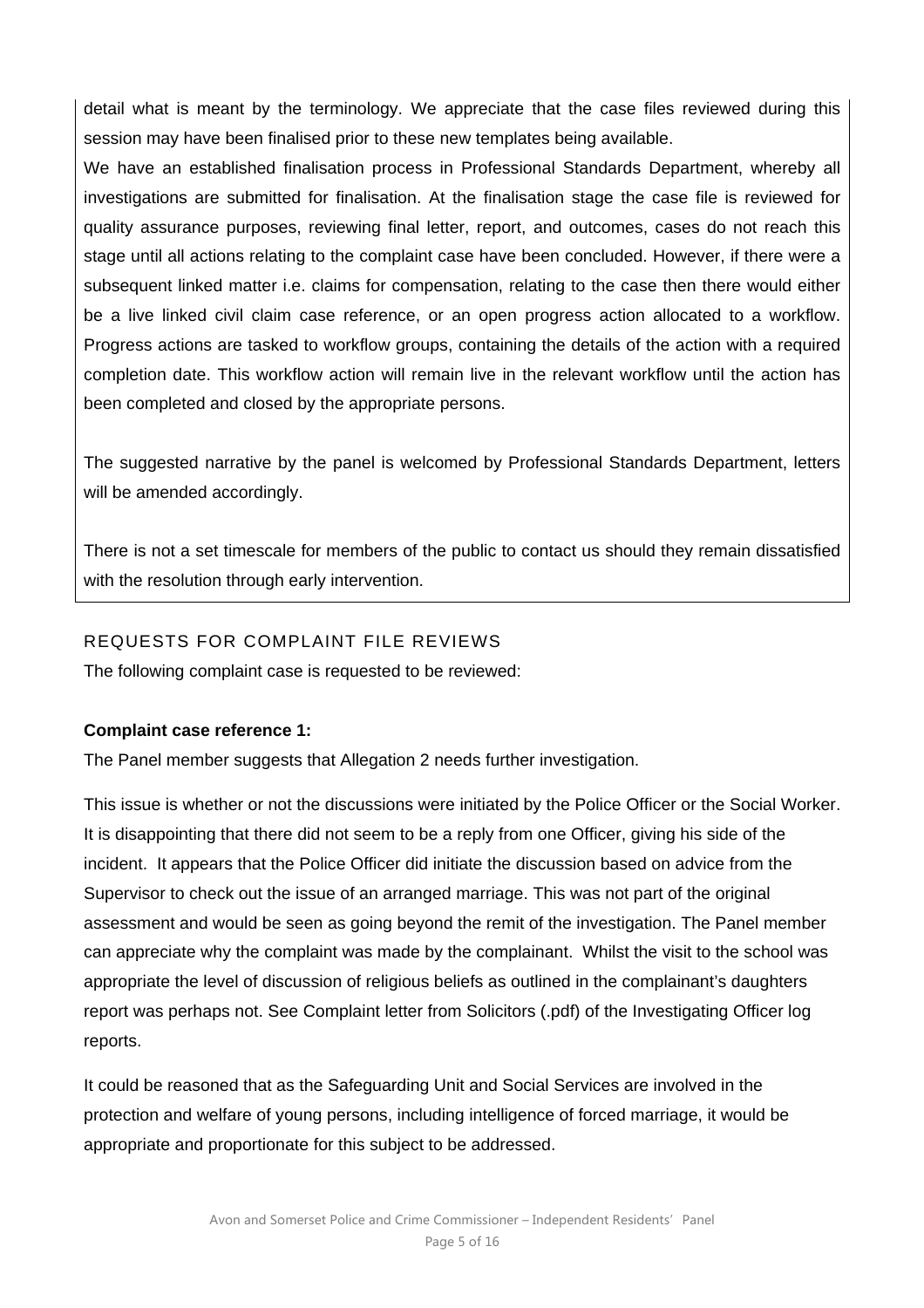detail what is meant by the terminology. We appreciate that the case files reviewed during this session may have been finalised prior to these new templates being available.

We have an established finalisation process in Professional Standards Department, whereby all investigations are submitted for finalisation. At the finalisation stage the case file is reviewed for quality assurance purposes, reviewing final letter, report, and outcomes, cases do not reach this stage until all actions relating to the complaint case have been concluded. However, if there were a subsequent linked matter i.e. claims for compensation, relating to the case then there would either be a live linked civil claim case reference, or an open progress action allocated to a workflow. Progress actions are tasked to workflow groups, containing the details of the action with a required completion date. This workflow action will remain live in the relevant workflow until the action has been completed and closed by the appropriate persons.

The suggested narrative by the panel is welcomed by Professional Standards Department, letters will be amended accordingly.

There is not a set timescale for members of the public to contact us should they remain dissatisfied with the resolution through early intervention.

#### REQUESTS FOR COMPLAINT FILE REVIEWS

The following complaint case is requested to be reviewed:

#### **Complaint case reference 1:**

The Panel member suggests that Allegation 2 needs further investigation.

This issue is whether or not the discussions were initiated by the Police Officer or the Social Worker. It is disappointing that there did not seem to be a reply from one Officer, giving his side of the incident. It appears that the Police Officer did initiate the discussion based on advice from the Supervisor to check out the issue of an arranged marriage. This was not part of the original assessment and would be seen as going beyond the remit of the investigation. The Panel member can appreciate why the complaint was made by the complainant. Whilst the visit to the school was appropriate the level of discussion of religious beliefs as outlined in the complainant's daughters report was perhaps not. See Complaint letter from Solicitors (.pdf) of the Investigating Officer log reports.

It could be reasoned that as the Safeguarding Unit and Social Services are involved in the protection and welfare of young persons, including intelligence of forced marriage, it would be appropriate and proportionate for this subject to be addressed.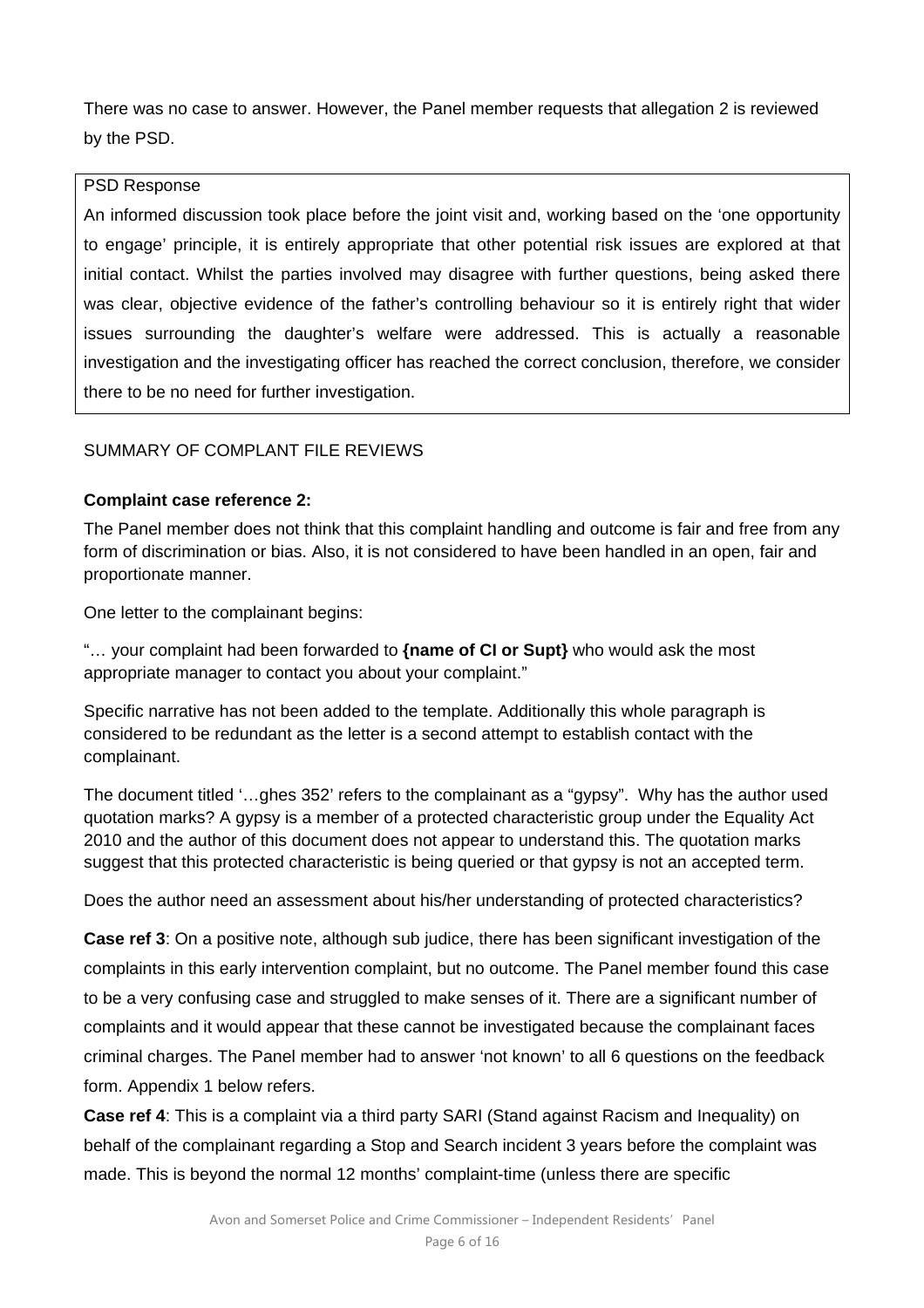There was no case to answer. However, the Panel member requests that allegation 2 is reviewed by the PSD.

#### PSD Response

An informed discussion took place before the joint visit and, working based on the 'one opportunity to engage' principle, it is entirely appropriate that other potential risk issues are explored at that initial contact. Whilst the parties involved may disagree with further questions, being asked there was clear, objective evidence of the father's controlling behaviour so it is entirely right that wider issues surrounding the daughter's welfare were addressed. This is actually a reasonable investigation and the investigating officer has reached the correct conclusion, therefore, we consider there to be no need for further investigation.

# SUMMARY OF COMPLANT FILE REVIEWS

### **Complaint case reference 2:**

The Panel member does not think that this complaint handling and outcome is fair and free from any form of discrimination or bias. Also, it is not considered to have been handled in an open, fair and proportionate manner.

One letter to the complainant begins:

"… your complaint had been forwarded to **{name of CI or Supt}** who would ask the most appropriate manager to contact you about your complaint."

Specific narrative has not been added to the template. Additionally this whole paragraph is considered to be redundant as the letter is a second attempt to establish contact with the complainant.

The document titled '…ghes 352' refers to the complainant as a "gypsy". Why has the author used quotation marks? A gypsy is a member of a protected characteristic group under the Equality Act 2010 and the author of this document does not appear to understand this. The quotation marks suggest that this protected characteristic is being queried or that gypsy is not an accepted term.

Does the author need an assessment about his/her understanding of protected characteristics?

**Case ref 3**: On a positive note, although sub judice, there has been significant investigation of the complaints in this early intervention complaint, but no outcome. The Panel member found this case to be a very confusing case and struggled to make senses of it. There are a significant number of complaints and it would appear that these cannot be investigated because the complainant faces criminal charges. The Panel member had to answer 'not known' to all 6 questions on the feedback form. Appendix 1 below refers.

**Case ref 4**: This is a complaint via a third party SARI (Stand against Racism and Inequality) on behalf of the complainant regarding a Stop and Search incident 3 years before the complaint was made. This is beyond the normal 12 months' complaint-time (unless there are specific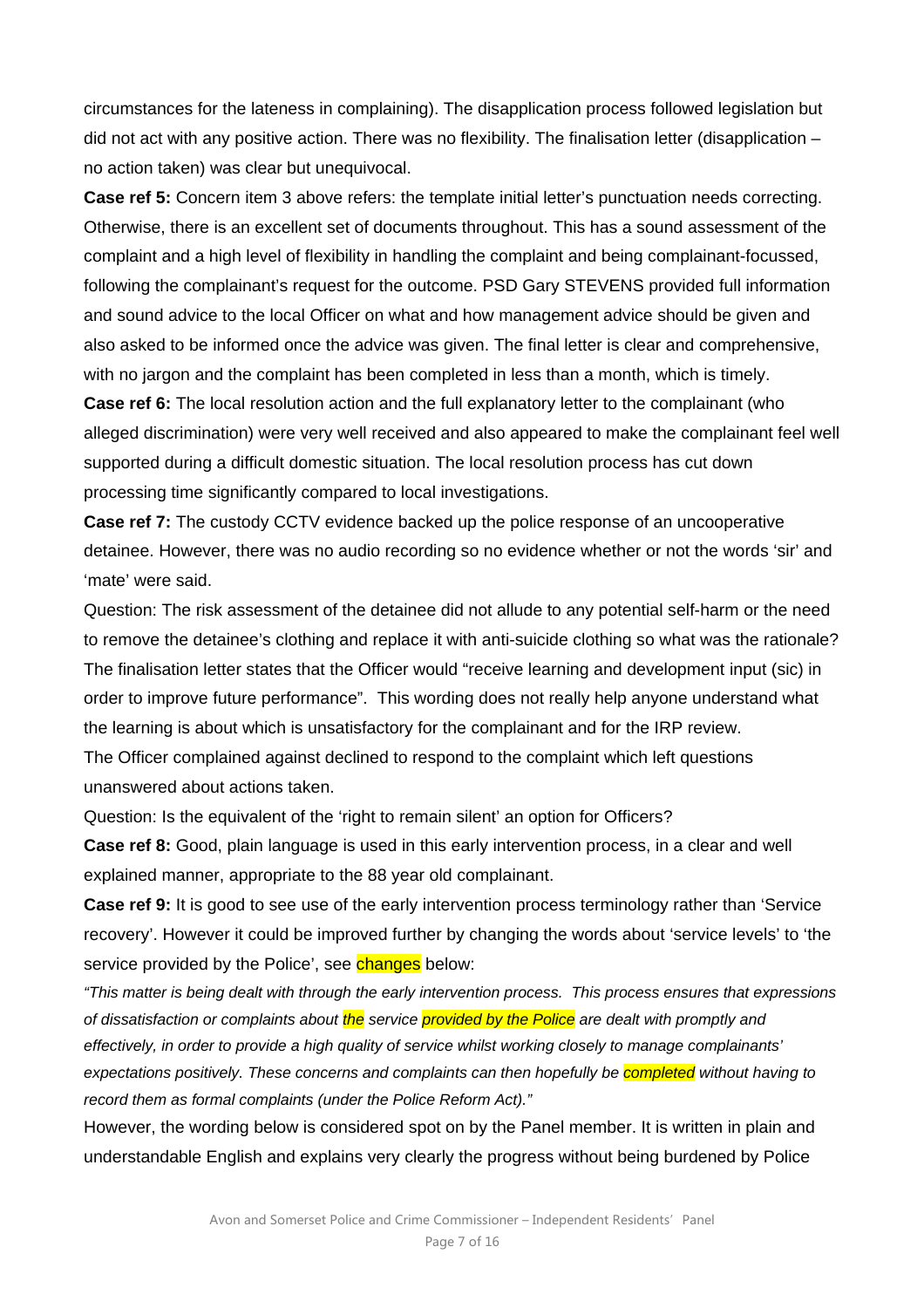circumstances for the lateness in complaining). The disapplication process followed legislation but did not act with any positive action. There was no flexibility. The finalisation letter (disapplication – no action taken) was clear but unequivocal.

**Case ref 5:** Concern item 3 above refers: the template initial letter's punctuation needs correcting. Otherwise, there is an excellent set of documents throughout. This has a sound assessment of the complaint and a high level of flexibility in handling the complaint and being complainant-focussed, following the complainant's request for the outcome. PSD Gary STEVENS provided full information and sound advice to the local Officer on what and how management advice should be given and also asked to be informed once the advice was given. The final letter is clear and comprehensive, with no jargon and the complaint has been completed in less than a month, which is timely.

**Case ref 6:** The local resolution action and the full explanatory letter to the complainant (who alleged discrimination) were very well received and also appeared to make the complainant feel well supported during a difficult domestic situation. The local resolution process has cut down processing time significantly compared to local investigations.

**Case ref 7:** The custody CCTV evidence backed up the police response of an uncooperative detainee. However, there was no audio recording so no evidence whether or not the words 'sir' and 'mate' were said.

Question: The risk assessment of the detainee did not allude to any potential self-harm or the need to remove the detainee's clothing and replace it with anti-suicide clothing so what was the rationale? The finalisation letter states that the Officer would "receive learning and development input (sic) in order to improve future performance". This wording does not really help anyone understand what the learning is about which is unsatisfactory for the complainant and for the IRP review. The Officer complained against declined to respond to the complaint which left questions unanswered about actions taken.

Question: Is the equivalent of the 'right to remain silent' an option for Officers?

**Case ref 8:** Good, plain language is used in this early intervention process, in a clear and well explained manner, appropriate to the 88 year old complainant.

**Case ref 9:** It is good to see use of the early intervention process terminology rather than 'Service recovery'. However it could be improved further by changing the words about 'service levels' to 'the service provided by the Police', see changes below:

*"This matter is being dealt with through the early intervention process. This process ensures that expressions of dissatisfaction or complaints about the service provided by the Police are dealt with promptly and effectively, in order to provide a high quality of service whilst working closely to manage complainants' expectations positively. These concerns and complaints can then hopefully be completed without having to record them as formal complaints (under the Police Reform Act)."* 

However, the wording below is considered spot on by the Panel member. It is written in plain and understandable English and explains very clearly the progress without being burdened by Police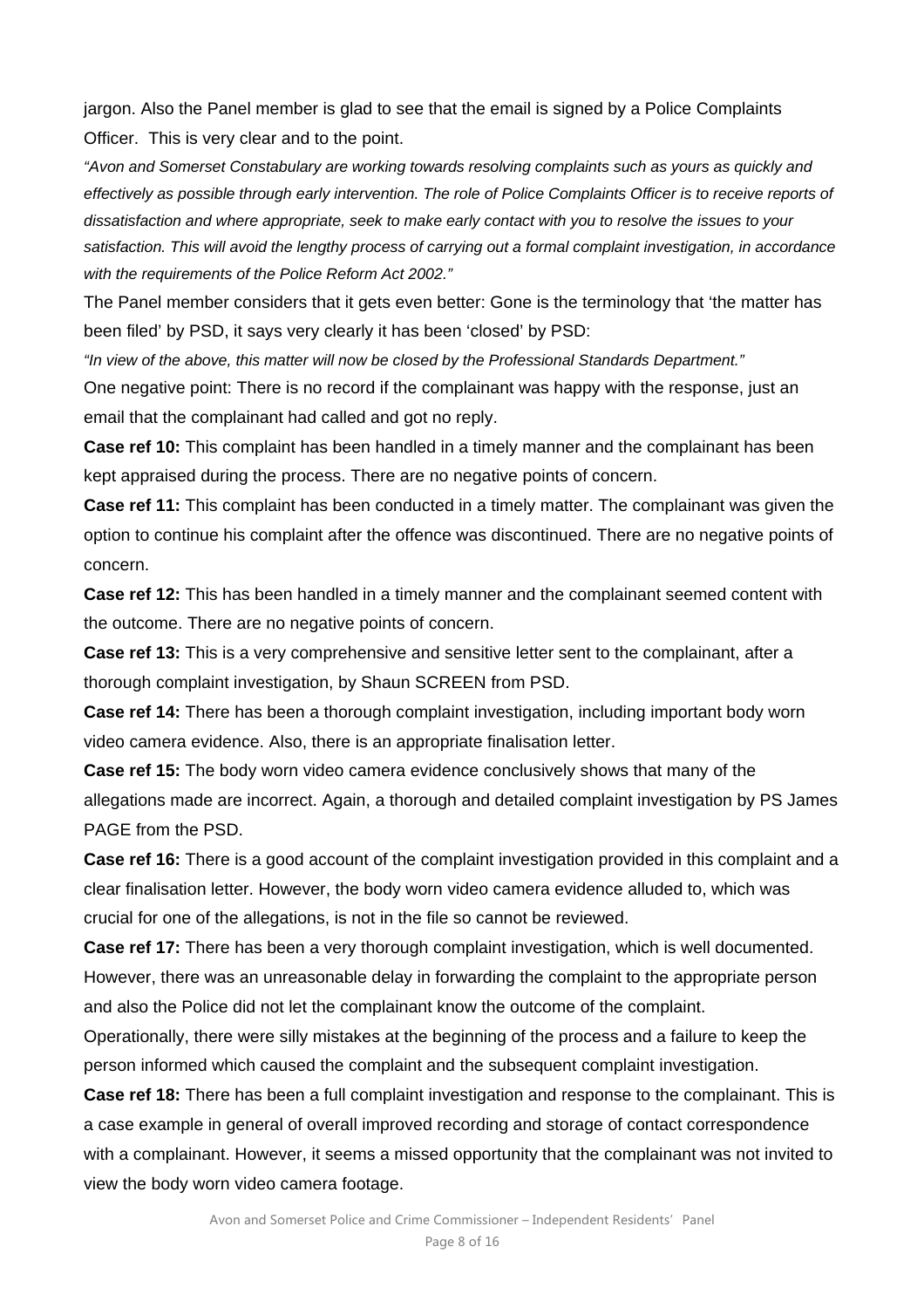jargon. Also the Panel member is glad to see that the email is signed by a Police Complaints Officer. This is very clear and to the point.

*"Avon and Somerset Constabulary are working towards resolving complaints such as yours as quickly and effectively as possible through early intervention. The role of Police Complaints Officer is to receive reports of dissatisfaction and where appropriate, seek to make early contact with you to resolve the issues to your satisfaction. This will avoid the lengthy process of carrying out a formal complaint investigation, in accordance with the requirements of the Police Reform Act 2002."* 

The Panel member considers that it gets even better: Gone is the terminology that 'the matter has been filed' by PSD, it says very clearly it has been 'closed' by PSD:

*"In view of the above, this matter will now be closed by the Professional Standards Department."* 

One negative point: There is no record if the complainant was happy with the response, just an email that the complainant had called and got no reply.

**Case ref 10:** This complaint has been handled in a timely manner and the complainant has been kept appraised during the process. There are no negative points of concern.

**Case ref 11:** This complaint has been conducted in a timely matter. The complainant was given the option to continue his complaint after the offence was discontinued. There are no negative points of concern.

**Case ref 12:** This has been handled in a timely manner and the complainant seemed content with the outcome. There are no negative points of concern.

**Case ref 13:** This is a very comprehensive and sensitive letter sent to the complainant, after a thorough complaint investigation, by Shaun SCREEN from PSD.

**Case ref 14:** There has been a thorough complaint investigation, including important body worn video camera evidence. Also, there is an appropriate finalisation letter.

**Case ref 15:** The body worn video camera evidence conclusively shows that many of the allegations made are incorrect. Again, a thorough and detailed complaint investigation by PS James PAGE from the PSD.

**Case ref 16:** There is a good account of the complaint investigation provided in this complaint and a clear finalisation letter. However, the body worn video camera evidence alluded to, which was crucial for one of the allegations, is not in the file so cannot be reviewed.

**Case ref 17:** There has been a very thorough complaint investigation, which is well documented. However, there was an unreasonable delay in forwarding the complaint to the appropriate person and also the Police did not let the complainant know the outcome of the complaint.

Operationally, there were silly mistakes at the beginning of the process and a failure to keep the person informed which caused the complaint and the subsequent complaint investigation.

**Case ref 18:** There has been a full complaint investigation and response to the complainant. This is a case example in general of overall improved recording and storage of contact correspondence with a complainant. However, it seems a missed opportunity that the complainant was not invited to view the body worn video camera footage.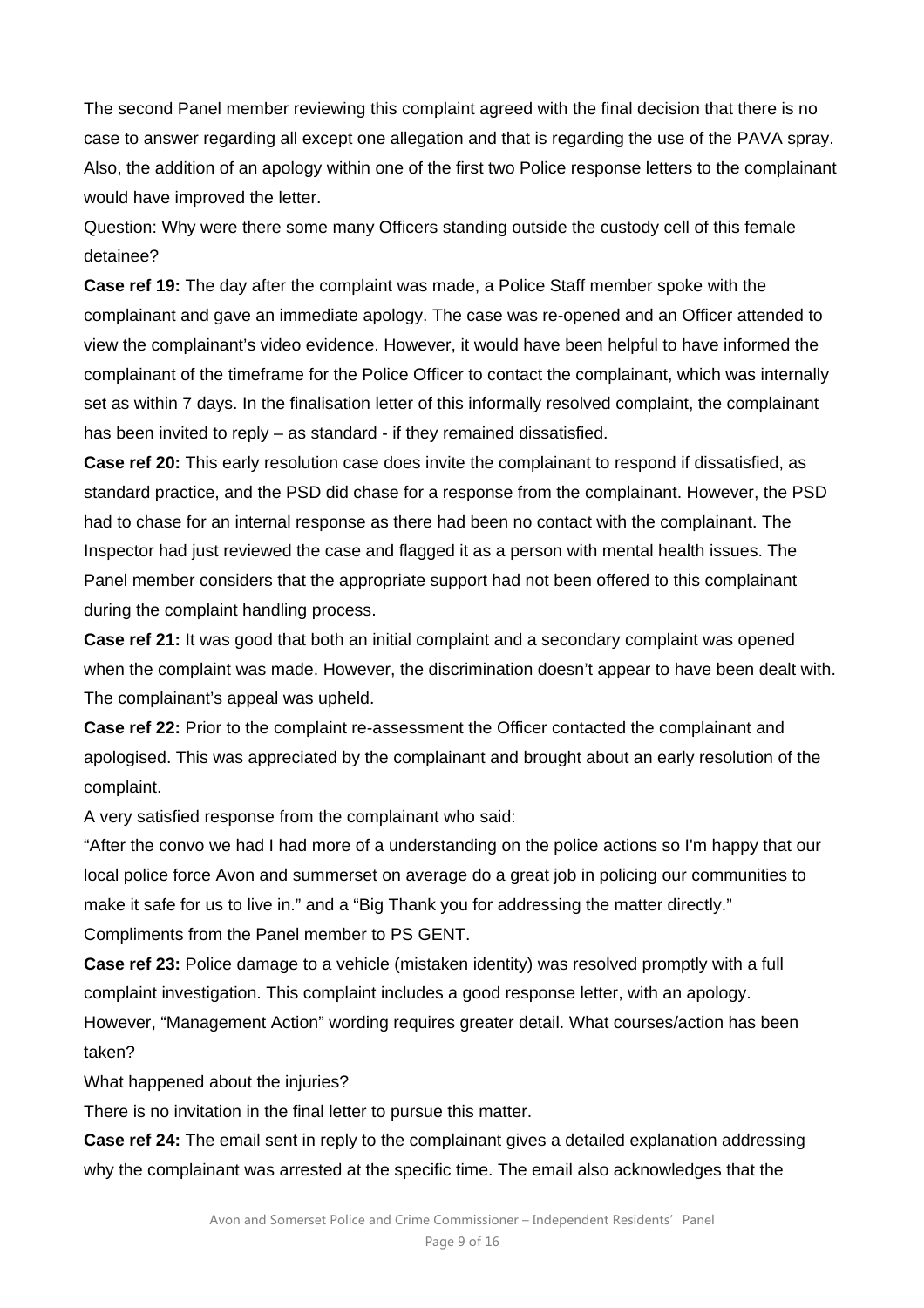The second Panel member reviewing this complaint agreed with the final decision that there is no case to answer regarding all except one allegation and that is regarding the use of the PAVA spray. Also, the addition of an apology within one of the first two Police response letters to the complainant would have improved the letter.

Question: Why were there some many Officers standing outside the custody cell of this female detainee?

**Case ref 19:** The day after the complaint was made, a Police Staff member spoke with the complainant and gave an immediate apology. The case was re-opened and an Officer attended to view the complainant's video evidence. However, it would have been helpful to have informed the complainant of the timeframe for the Police Officer to contact the complainant, which was internally set as within 7 days. In the finalisation letter of this informally resolved complaint, the complainant has been invited to reply – as standard - if they remained dissatisfied.

**Case ref 20:** This early resolution case does invite the complainant to respond if dissatisfied, as standard practice, and the PSD did chase for a response from the complainant. However, the PSD had to chase for an internal response as there had been no contact with the complainant. The Inspector had just reviewed the case and flagged it as a person with mental health issues. The Panel member considers that the appropriate support had not been offered to this complainant during the complaint handling process.

**Case ref 21:** It was good that both an initial complaint and a secondary complaint was opened when the complaint was made. However, the discrimination doesn't appear to have been dealt with. The complainant's appeal was upheld.

**Case ref 22:** Prior to the complaint re-assessment the Officer contacted the complainant and apologised. This was appreciated by the complainant and brought about an early resolution of the complaint.

A very satisfied response from the complainant who said:

"After the convo we had I had more of a understanding on the police actions so I'm happy that our local police force Avon and summerset on average do a great job in policing our communities to make it safe for us to live in." and a "Big Thank you for addressing the matter directly." Compliments from the Panel member to PS GENT.

**Case ref 23:** Police damage to a vehicle (mistaken identity) was resolved promptly with a full complaint investigation. This complaint includes a good response letter, with an apology. However, "Management Action" wording requires greater detail. What courses/action has been taken?

What happened about the injuries?

There is no invitation in the final letter to pursue this matter.

**Case ref 24:** The email sent in reply to the complainant gives a detailed explanation addressing why the complainant was arrested at the specific time. The email also acknowledges that the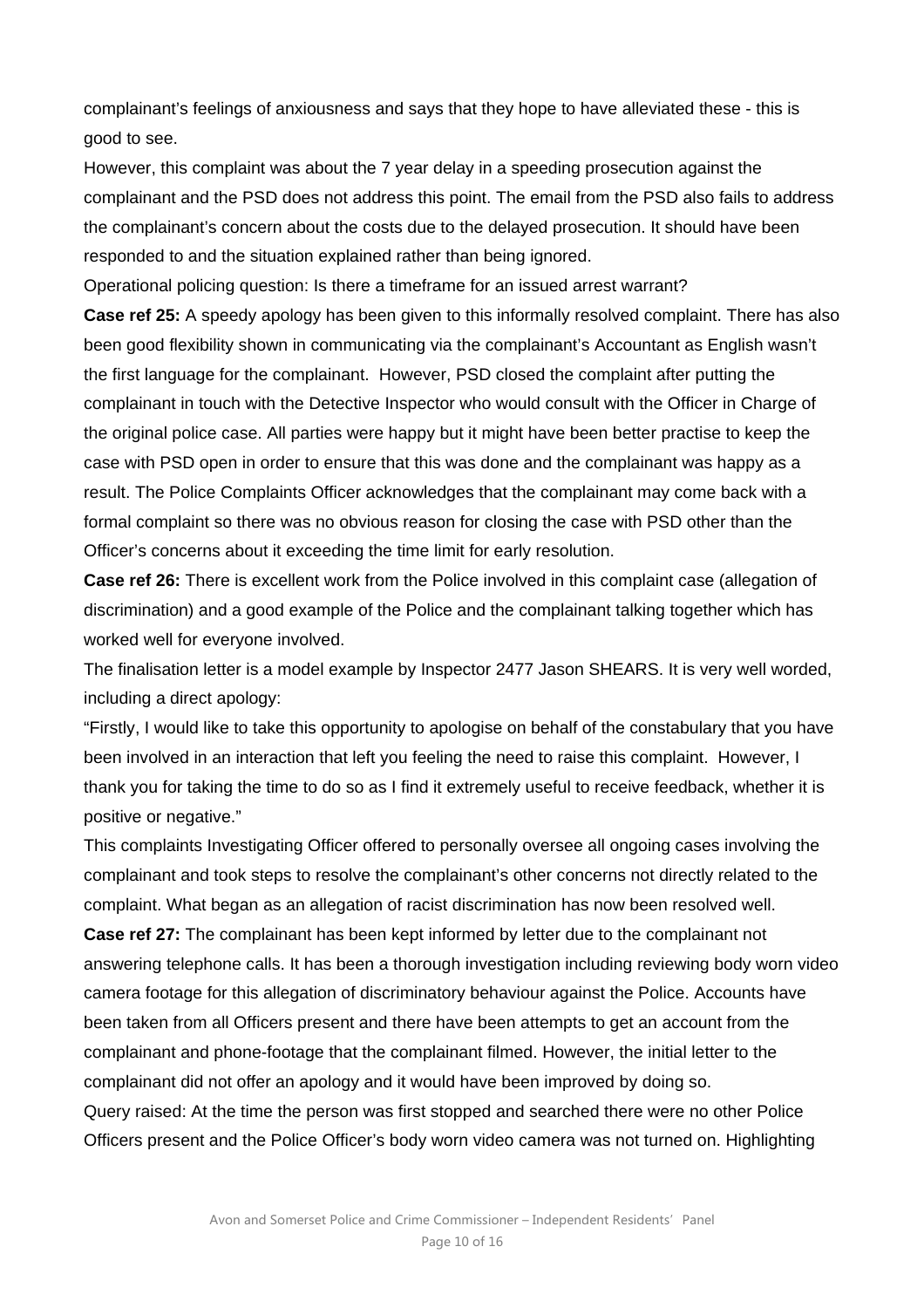complainant's feelings of anxiousness and says that they hope to have alleviated these - this is good to see.

However, this complaint was about the 7 year delay in a speeding prosecution against the complainant and the PSD does not address this point. The email from the PSD also fails to address the complainant's concern about the costs due to the delayed prosecution. It should have been responded to and the situation explained rather than being ignored.

Operational policing question: Is there a timeframe for an issued arrest warrant?

**Case ref 25:** A speedy apology has been given to this informally resolved complaint. There has also been good flexibility shown in communicating via the complainant's Accountant as English wasn't the first language for the complainant. However, PSD closed the complaint after putting the complainant in touch with the Detective Inspector who would consult with the Officer in Charge of the original police case. All parties were happy but it might have been better practise to keep the case with PSD open in order to ensure that this was done and the complainant was happy as a result. The Police Complaints Officer acknowledges that the complainant may come back with a formal complaint so there was no obvious reason for closing the case with PSD other than the Officer's concerns about it exceeding the time limit for early resolution.

**Case ref 26:** There is excellent work from the Police involved in this complaint case (allegation of discrimination) and a good example of the Police and the complainant talking together which has worked well for everyone involved.

The finalisation letter is a model example by Inspector 2477 Jason SHEARS. It is very well worded, including a direct apology:

"Firstly, I would like to take this opportunity to apologise on behalf of the constabulary that you have been involved in an interaction that left you feeling the need to raise this complaint. However, I thank you for taking the time to do so as I find it extremely useful to receive feedback, whether it is positive or negative."

This complaints Investigating Officer offered to personally oversee all ongoing cases involving the complainant and took steps to resolve the complainant's other concerns not directly related to the complaint. What began as an allegation of racist discrimination has now been resolved well.

**Case ref 27:** The complainant has been kept informed by letter due to the complainant not answering telephone calls. It has been a thorough investigation including reviewing body worn video camera footage for this allegation of discriminatory behaviour against the Police. Accounts have been taken from all Officers present and there have been attempts to get an account from the complainant and phone-footage that the complainant filmed. However, the initial letter to the complainant did not offer an apology and it would have been improved by doing so.

Query raised: At the time the person was first stopped and searched there were no other Police Officers present and the Police Officer's body worn video camera was not turned on. Highlighting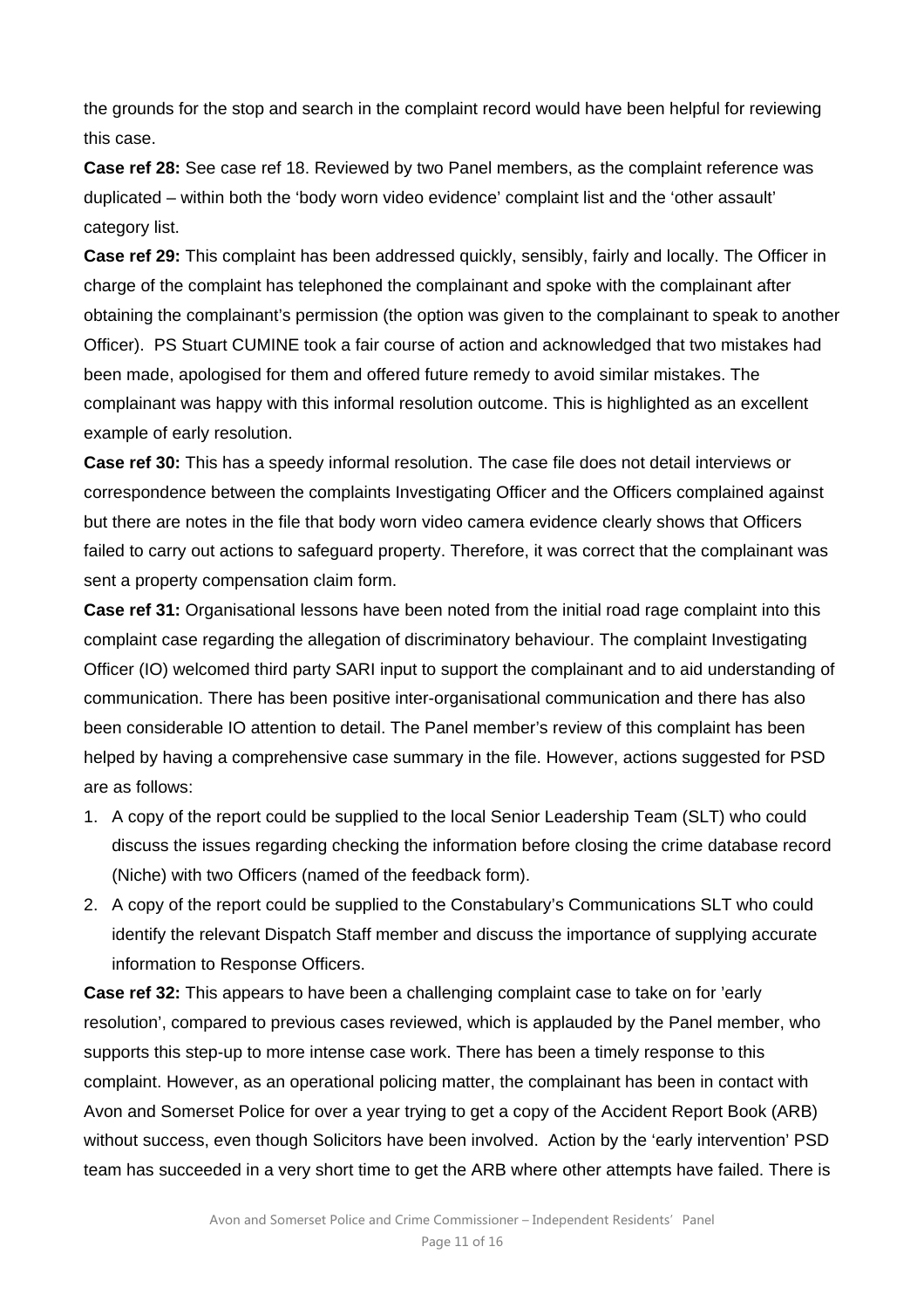the grounds for the stop and search in the complaint record would have been helpful for reviewing this case.

**Case ref 28:** See case ref 18. Reviewed by two Panel members, as the complaint reference was duplicated – within both the 'body worn video evidence' complaint list and the 'other assault' category list.

**Case ref 29:** This complaint has been addressed quickly, sensibly, fairly and locally. The Officer in charge of the complaint has telephoned the complainant and spoke with the complainant after obtaining the complainant's permission (the option was given to the complainant to speak to another Officer). PS Stuart CUMINE took a fair course of action and acknowledged that two mistakes had been made, apologised for them and offered future remedy to avoid similar mistakes. The complainant was happy with this informal resolution outcome. This is highlighted as an excellent example of early resolution.

**Case ref 30:** This has a speedy informal resolution. The case file does not detail interviews or correspondence between the complaints Investigating Officer and the Officers complained against but there are notes in the file that body worn video camera evidence clearly shows that Officers failed to carry out actions to safeguard property. Therefore, it was correct that the complainant was sent a property compensation claim form.

**Case ref 31:** Organisational lessons have been noted from the initial road rage complaint into this complaint case regarding the allegation of discriminatory behaviour. The complaint Investigating Officer (IO) welcomed third party SARI input to support the complainant and to aid understanding of communication. There has been positive inter-organisational communication and there has also been considerable IO attention to detail. The Panel member's review of this complaint has been helped by having a comprehensive case summary in the file. However, actions suggested for PSD are as follows:

- 1. A copy of the report could be supplied to the local Senior Leadership Team (SLT) who could discuss the issues regarding checking the information before closing the crime database record (Niche) with two Officers (named of the feedback form).
- 2. A copy of the report could be supplied to the Constabulary's Communications SLT who could identify the relevant Dispatch Staff member and discuss the importance of supplying accurate information to Response Officers.

**Case ref 32:** This appears to have been a challenging complaint case to take on for 'early resolution', compared to previous cases reviewed, which is applauded by the Panel member, who supports this step-up to more intense case work. There has been a timely response to this complaint. However, as an operational policing matter, the complainant has been in contact with Avon and Somerset Police for over a year trying to get a copy of the Accident Report Book (ARB) without success, even though Solicitors have been involved. Action by the 'early intervention' PSD team has succeeded in a very short time to get the ARB where other attempts have failed. There is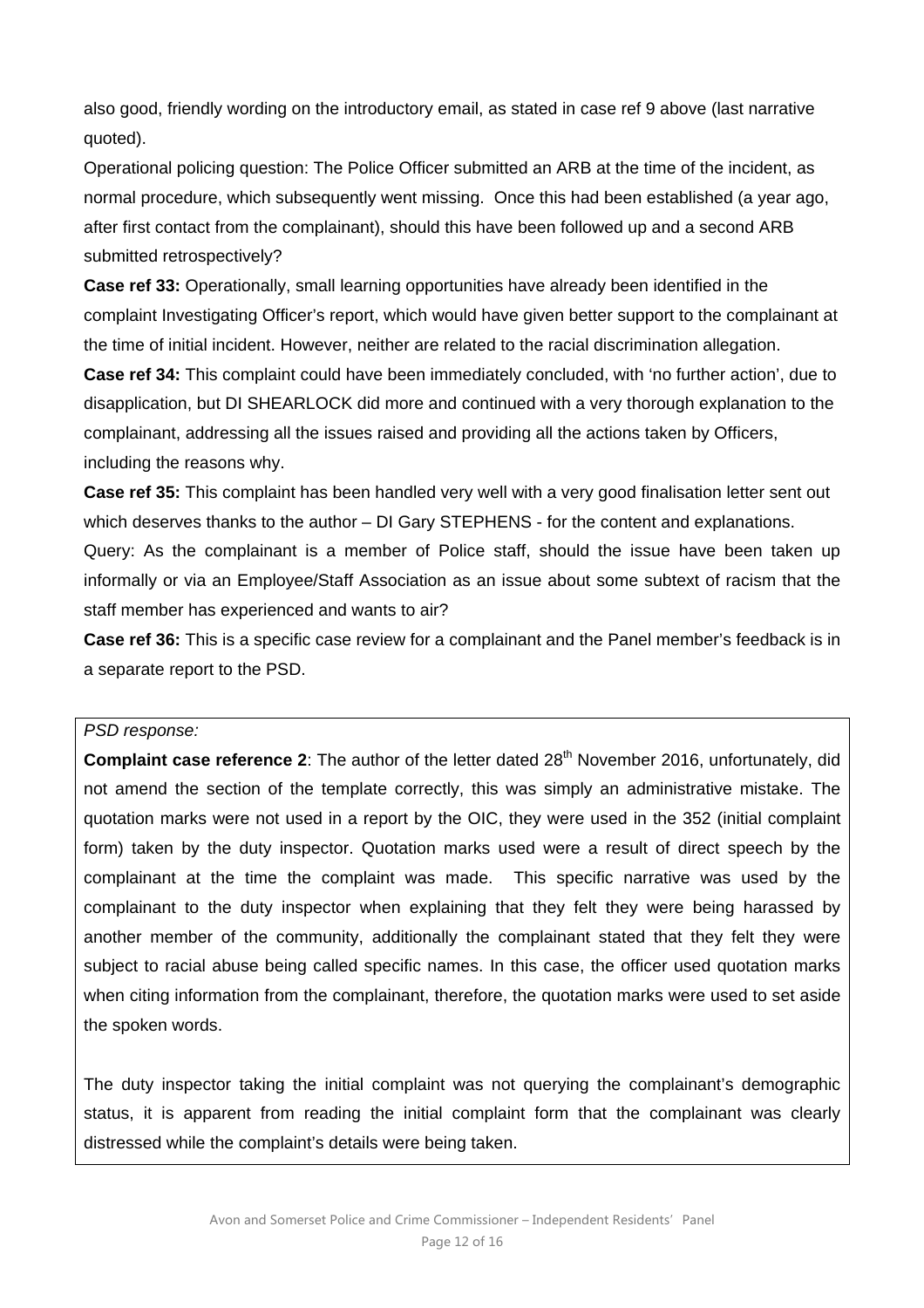also good, friendly wording on the introductory email, as stated in case ref 9 above (last narrative quoted).

Operational policing question: The Police Officer submitted an ARB at the time of the incident, as normal procedure, which subsequently went missing. Once this had been established (a year ago, after first contact from the complainant), should this have been followed up and a second ARB submitted retrospectively?

**Case ref 33:** Operationally, small learning opportunities have already been identified in the complaint Investigating Officer's report, which would have given better support to the complainant at the time of initial incident. However, neither are related to the racial discrimination allegation.

**Case ref 34:** This complaint could have been immediately concluded, with 'no further action', due to disapplication, but DI SHEARLOCK did more and continued with a very thorough explanation to the complainant, addressing all the issues raised and providing all the actions taken by Officers, including the reasons why.

**Case ref 35:** This complaint has been handled very well with a very good finalisation letter sent out which deserves thanks to the author – DI Gary STEPHENS - for the content and explanations. Query: As the complainant is a member of Police staff, should the issue have been taken up informally or via an Employee/Staff Association as an issue about some subtext of racism that the staff member has experienced and wants to air?

**Case ref 36:** This is a specific case review for a complainant and the Panel member's feedback is in a separate report to the PSD.

#### *PSD response:*

**Complaint case reference 2:** The author of the letter dated 28<sup>th</sup> November 2016, unfortunately, did not amend the section of the template correctly, this was simply an administrative mistake. The quotation marks were not used in a report by the OIC, they were used in the 352 (initial complaint form) taken by the duty inspector. Quotation marks used were a result of direct speech by the complainant at the time the complaint was made. This specific narrative was used by the complainant to the duty inspector when explaining that they felt they were being harassed by another member of the community, additionally the complainant stated that they felt they were subject to racial abuse being called specific names. In this case, the officer used quotation marks when citing information from the complainant, therefore, the quotation marks were used to set aside the spoken words.

The duty inspector taking the initial complaint was not querying the complainant's demographic status, it is apparent from reading the initial complaint form that the complainant was clearly distressed while the complaint's details were being taken.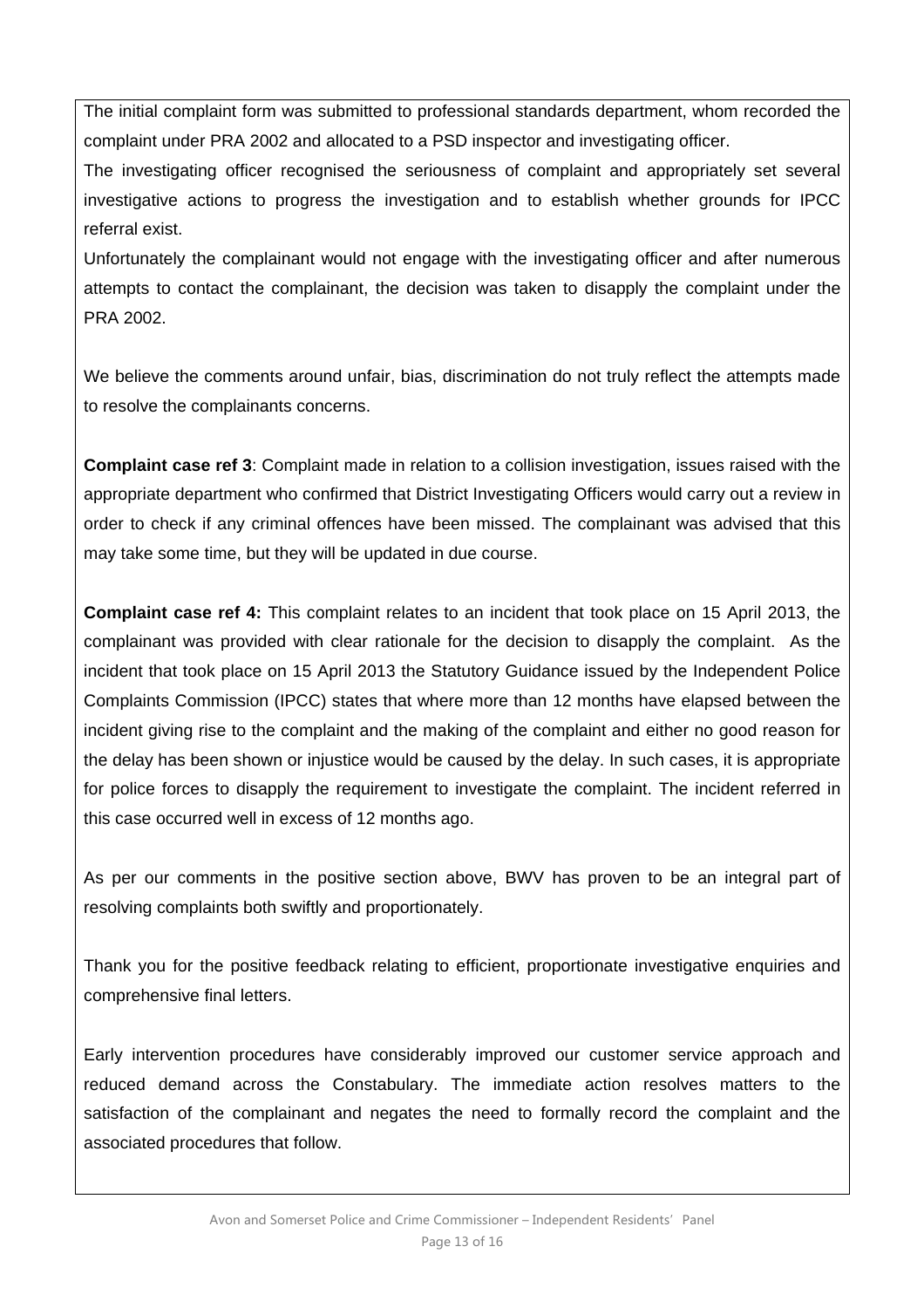The initial complaint form was submitted to professional standards department, whom recorded the complaint under PRA 2002 and allocated to a PSD inspector and investigating officer.

The investigating officer recognised the seriousness of complaint and appropriately set several investigative actions to progress the investigation and to establish whether grounds for IPCC referral exist.

Unfortunately the complainant would not engage with the investigating officer and after numerous attempts to contact the complainant, the decision was taken to disapply the complaint under the PRA 2002.

We believe the comments around unfair, bias, discrimination do not truly reflect the attempts made to resolve the complainants concerns.

**Complaint case ref 3**: Complaint made in relation to a collision investigation, issues raised with the appropriate department who confirmed that District Investigating Officers would carry out a review in order to check if any criminal offences have been missed. The complainant was advised that this may take some time, but they will be updated in due course.

**Complaint case ref 4:** This complaint relates to an incident that took place on 15 April 2013, the complainant was provided with clear rationale for the decision to disapply the complaint. As the incident that took place on 15 April 2013 the Statutory Guidance issued by the Independent Police Complaints Commission (IPCC) states that where more than 12 months have elapsed between the incident giving rise to the complaint and the making of the complaint and either no good reason for the delay has been shown or injustice would be caused by the delay. In such cases, it is appropriate for police forces to disapply the requirement to investigate the complaint. The incident referred in this case occurred well in excess of 12 months ago.

As per our comments in the positive section above, BWV has proven to be an integral part of resolving complaints both swiftly and proportionately.

Thank you for the positive feedback relating to efficient, proportionate investigative enquiries and comprehensive final letters.

Early intervention procedures have considerably improved our customer service approach and reduced demand across the Constabulary. The immediate action resolves matters to the satisfaction of the complainant and negates the need to formally record the complaint and the associated procedures that follow.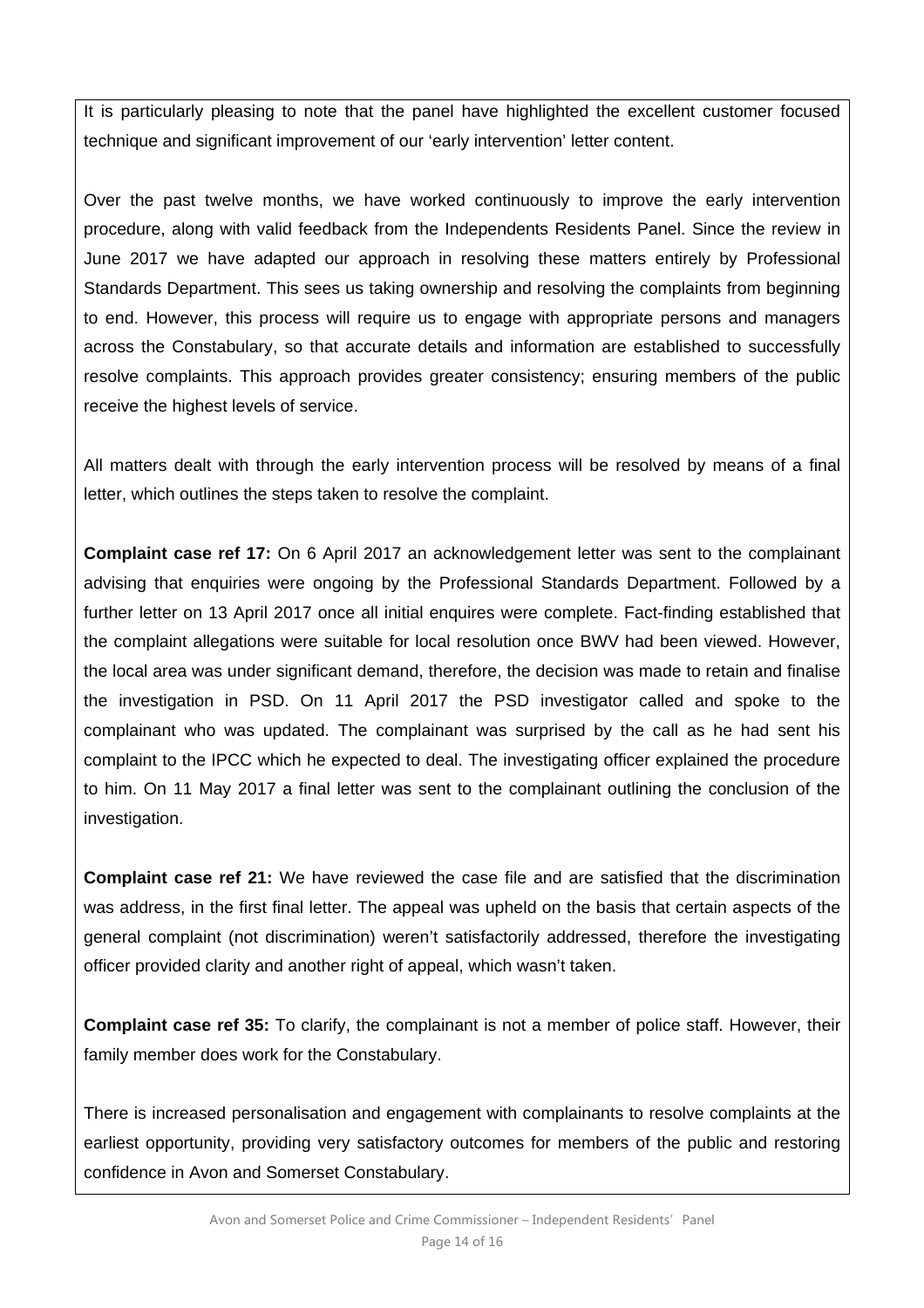It is particularly pleasing to note that the panel have highlighted the excellent customer focused technique and significant improvement of our 'early intervention' letter content.

Over the past twelve months, we have worked continuously to improve the early intervention procedure, along with valid feedback from the Independents Residents Panel. Since the review in June 2017 we have adapted our approach in resolving these matters entirely by Professional Standards Department. This sees us taking ownership and resolving the complaints from beginning to end. However, this process will require us to engage with appropriate persons and managers across the Constabulary, so that accurate details and information are established to successfully resolve complaints. This approach provides greater consistency; ensuring members of the public receive the highest levels of service.

All matters dealt with through the early intervention process will be resolved by means of a final letter, which outlines the steps taken to resolve the complaint.

**Complaint case ref 17:** On 6 April 2017 an acknowledgement letter was sent to the complainant advising that enquiries were ongoing by the Professional Standards Department. Followed by a further letter on 13 April 2017 once all initial enquires were complete. Fact-finding established that the complaint allegations were suitable for local resolution once BWV had been viewed. However, the local area was under significant demand, therefore, the decision was made to retain and finalise the investigation in PSD. On 11 April 2017 the PSD investigator called and spoke to the complainant who was updated. The complainant was surprised by the call as he had sent his complaint to the IPCC which he expected to deal. The investigating officer explained the procedure to him. On 11 May 2017 a final letter was sent to the complainant outlining the conclusion of the investigation.

**Complaint case ref 21:** We have reviewed the case file and are satisfied that the discrimination was address, in the first final letter. The appeal was upheld on the basis that certain aspects of the general complaint (not discrimination) weren't satisfactorily addressed, therefore the investigating officer provided clarity and another right of appeal, which wasn't taken.

**Complaint case ref 35:** To clarify, the complainant is not a member of police staff. However, their family member does work for the Constabulary.

There is increased personalisation and engagement with complainants to resolve complaints at the earliest opportunity, providing very satisfactory outcomes for members of the public and restoring confidence in Avon and Somerset Constabulary.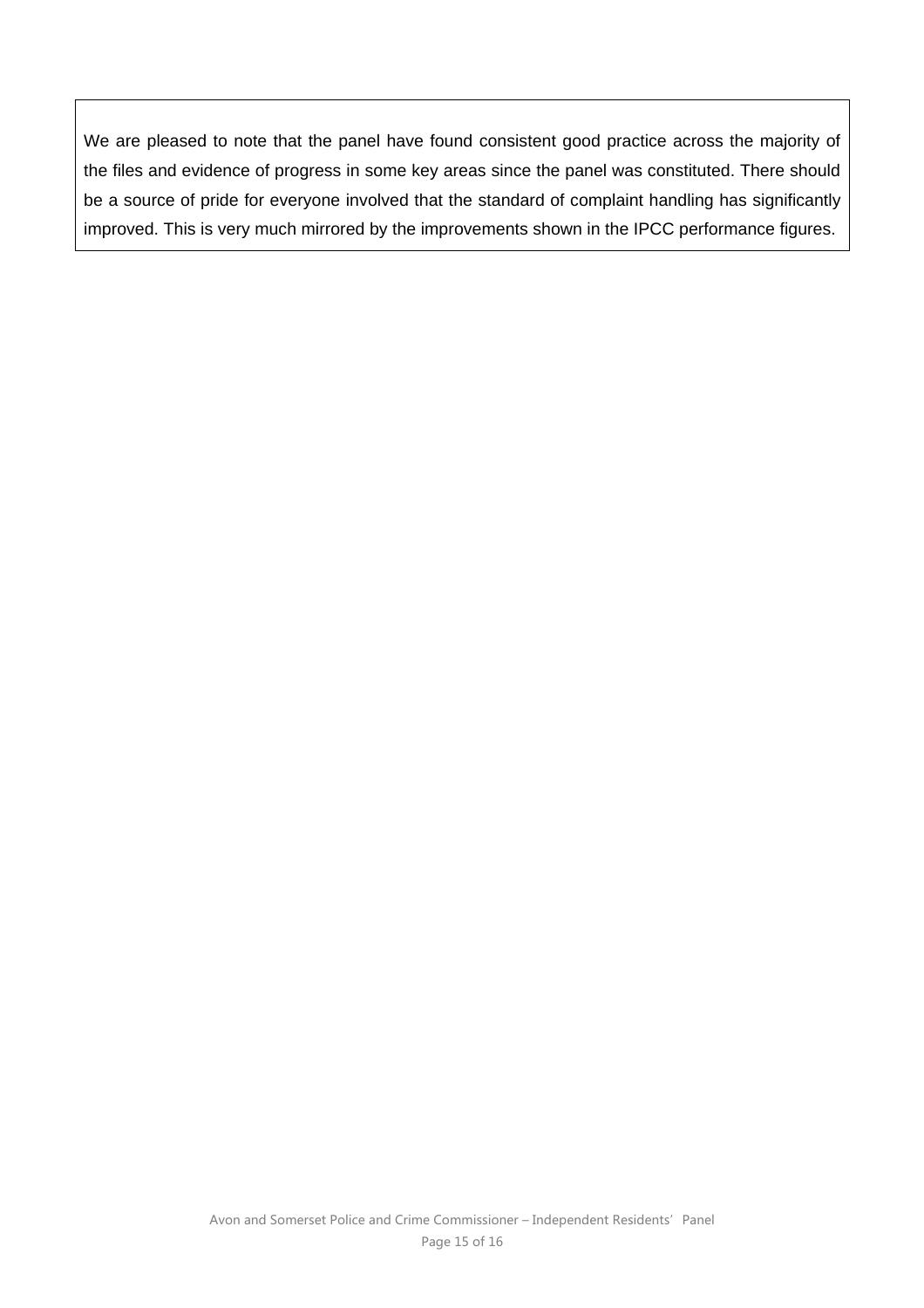We are pleased to note that the panel have found consistent good practice across the majority of the files and evidence of progress in some key areas since the panel was constituted. There should be a source of pride for everyone involved that the standard of complaint handling has significantly improved. This is very much mirrored by the improvements shown in the IPCC performance figures.